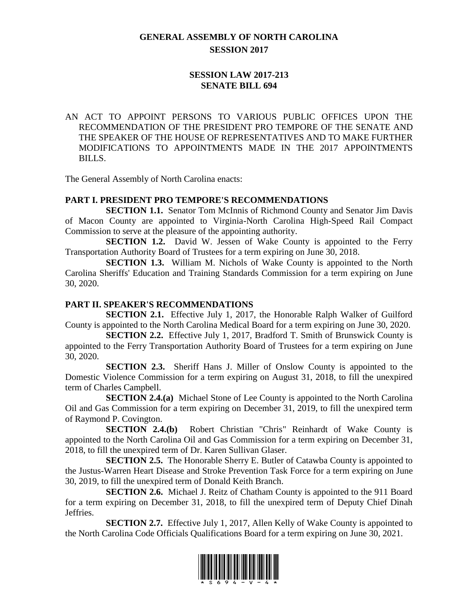# **GENERAL ASSEMBLY OF NORTH CAROLINA SESSION 2017**

## **SESSION LAW 2017-213 SENATE BILL 694**

AN ACT TO APPOINT PERSONS TO VARIOUS PUBLIC OFFICES UPON THE RECOMMENDATION OF THE PRESIDENT PRO TEMPORE OF THE SENATE AND THE SPEAKER OF THE HOUSE OF REPRESENTATIVES AND TO MAKE FURTHER MODIFICATIONS TO APPOINTMENTS MADE IN THE 2017 APPOINTMENTS BILLS.

The General Assembly of North Carolina enacts:

#### **PART I. PRESIDENT PRO TEMPORE'S RECOMMENDATIONS**

**SECTION 1.1.** Senator Tom McInnis of Richmond County and Senator Jim Davis of Macon County are appointed to Virginia-North Carolina High-Speed Rail Compact Commission to serve at the pleasure of the appointing authority.

**SECTION 1.2.** David W. Jessen of Wake County is appointed to the Ferry Transportation Authority Board of Trustees for a term expiring on June 30, 2018.

**SECTION 1.3.** William M. Nichols of Wake County is appointed to the North Carolina Sheriffs' Education and Training Standards Commission for a term expiring on June 30, 2020.

#### **PART II. SPEAKER'S RECOMMENDATIONS**

**SECTION 2.1.** Effective July 1, 2017, the Honorable Ralph Walker of Guilford County is appointed to the North Carolina Medical Board for a term expiring on June 30, 2020.

**SECTION 2.2.** Effective July 1, 2017, Bradford T. Smith of Brunswick County is appointed to the Ferry Transportation Authority Board of Trustees for a term expiring on June 30, 2020.

**SECTION 2.3.** Sheriff Hans J. Miller of Onslow County is appointed to the Domestic Violence Commission for a term expiring on August 31, 2018, to fill the unexpired term of Charles Campbell.

**SECTION 2.4.(a)** Michael Stone of Lee County is appointed to the North Carolina Oil and Gas Commission for a term expiring on December 31, 2019, to fill the unexpired term of Raymond P. Covington.

**SECTION 2.4.(b)** Robert Christian "Chris" Reinhardt of Wake County is appointed to the North Carolina Oil and Gas Commission for a term expiring on December 31, 2018, to fill the unexpired term of Dr. Karen Sullivan Glaser.

**SECTION 2.5.** The Honorable Sherry E. Butler of Catawba County is appointed to the Justus-Warren Heart Disease and Stroke Prevention Task Force for a term expiring on June 30, 2019, to fill the unexpired term of Donald Keith Branch.

**SECTION 2.6.** Michael J. Reitz of Chatham County is appointed to the 911 Board for a term expiring on December 31, 2018, to fill the unexpired term of Deputy Chief Dinah Jeffries.

**SECTION 2.7.** Effective July 1, 2017, Allen Kelly of Wake County is appointed to the North Carolina Code Officials Qualifications Board for a term expiring on June 30, 2021.

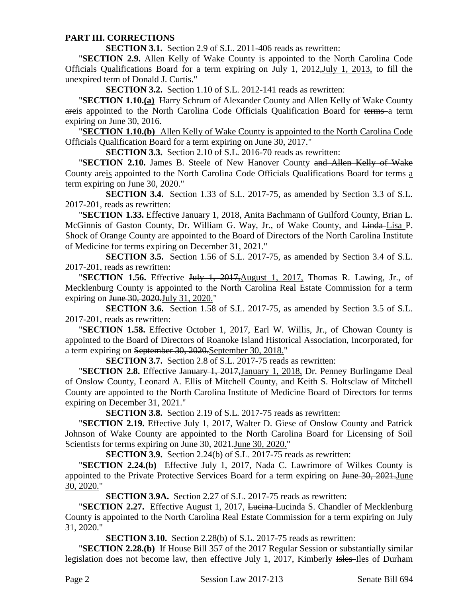#### **PART III. CORRECTIONS**

**SECTION 3.1.** Section 2.9 of S.L. 2011-406 reads as rewritten:

"**SECTION 2.9.** Allen Kelly of Wake County is appointed to the North Carolina Code Officials Qualifications Board for a term expiring on July 1, 2012,July 1, 2013, to fill the unexpired term of Donald J. Curtis."

**SECTION 3.2.** Section 1.10 of S.L. 2012-141 reads as rewritten:

"**SECTION 1.10.(a)** Harry Schrum of Alexander County and Allen Kelly of Wake County areis appointed to the North Carolina Code Officials Qualification Board for terms a term expiring on June 30, 2016.

"**SECTION 1.10.(b)** Allen Kelly of Wake County is appointed to the North Carolina Code Officials Qualification Board for a term expiring on June 30, 2017."

**SECTION 3.3.** Section 2.10 of S.L. 2016-70 reads as rewritten:

"**SECTION 2.10.** James B. Steele of New Hanover County and Allen Kelly of Wake County areis appointed to the North Carolina Code Officials Qualifications Board for terms a term expiring on June 30, 2020."

**SECTION 3.4.** Section 1.33 of S.L. 2017-75, as amended by Section 3.3 of S.L. 2017-201, reads as rewritten:

"**SECTION 1.33.** Effective January 1, 2018, Anita Bachmann of Guilford County, Brian L. McGinnis of Gaston County, Dr. William G. Way, Jr., of Wake County, and Linda Lisa P. Shock of Orange County are appointed to the Board of Directors of the North Carolina Institute of Medicine for terms expiring on December 31, 2021."

**SECTION 3.5.** Section 1.56 of S.L. 2017-75, as amended by Section 3.4 of S.L. 2017-201, reads as rewritten:

"**SECTION 1.56.** Effective July 1, 2017, August 1, 2017, Thomas R. Lawing, Jr., of Mecklenburg County is appointed to the North Carolina Real Estate Commission for a term expiring on June 30, 2020. July 31, 2020."

**SECTION 3.6.** Section 1.58 of S.L. 2017-75, as amended by Section 3.5 of S.L. 2017-201, reads as rewritten:

"**SECTION 1.58.** Effective October 1, 2017, Earl W. Willis, Jr., of Chowan County is appointed to the Board of Directors of Roanoke Island Historical Association, Incorporated, for a term expiring on September 30, 2020.September 30, 2018."

**SECTION 3.7.** Section 2.8 of S.L. 2017-75 reads as rewritten:

"**SECTION 2.8.** Effective January 1, 2017,January 1, 2018, Dr. Penney Burlingame Deal of Onslow County, Leonard A. Ellis of Mitchell County, and Keith S. Holtsclaw of Mitchell County are appointed to the North Carolina Institute of Medicine Board of Directors for terms expiring on December 31, 2021."

**SECTION 3.8.** Section 2.19 of S.L. 2017-75 reads as rewritten:

"**SECTION 2.19.** Effective July 1, 2017, Walter D. Giese of Onslow County and Patrick Johnson of Wake County are appointed to the North Carolina Board for Licensing of Soil Scientists for terms expiring on June 30, 2021.June 30, 2020."

**SECTION 3.9.** Section 2.24(b) of S.L. 2017-75 reads as rewritten:

"**SECTION 2.24.(b)** Effective July 1, 2017, Nada C. Lawrimore of Wilkes County is appointed to the Private Protective Services Board for a term expiring on <del>June 30, 2021.</del>June 30, 2020."

**SECTION 3.9A.** Section 2.27 of S.L. 2017-75 reads as rewritten:

**"SECTION 2.27.** Effective August 1, 2017, Lucina-Lucinda S. Chandler of Mecklenburg County is appointed to the North Carolina Real Estate Commission for a term expiring on July 31, 2020."

**SECTION 3.10.** Section 2.28(b) of S.L. 2017-75 reads as rewritten:

"**SECTION 2.28.(b)** If House Bill 357 of the 2017 Regular Session or substantially similar legislation does not become law, then effective July 1, 2017, Kimberly Isles-Iles of Durham